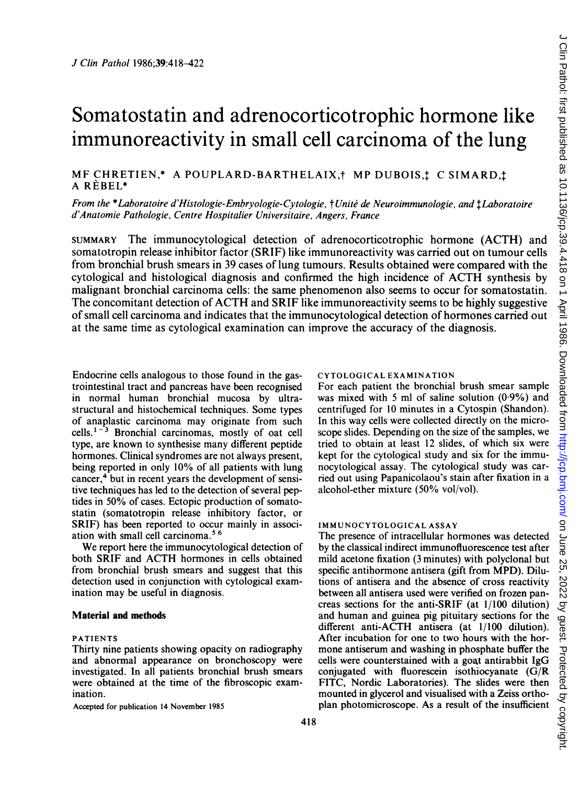# Somatostatin and adrenocorticotrophic hormone like immunoreactivity in small cell carcinoma of the lung

# MF CHRETIEN,\* A POUPLARD-BARTHELAIX,† MP DUBOIS,‡ C SIMARD,‡ A REBEL\*

From the \*Laboratoire d'Histologie-Embryologie-Cytologie, †Unité de Neuroimmunologie, and *†Laboratoire* d'Anatomie Pathologie, Centre Hospitalier Universitaire, Angers, France

SUMMARY The immunocytological detection of adrenocorticotrophic hormone (ACTH) and somatotropin release inhibitor factor (SRIF) like immunoreactivity was carried out on tumour cells from bronchial brush smears in 39 cases of lung tumours. Results obtained were compared with the cytological and histological diagnosis and confirmed the high incidence of ACTH synthesis by malignant bronchial carcinoma cells: the same phenomenon also seems to occur for somatostatin. The concomitant detection of ACTH and SRIF like immunoreactivity seems to be highly suggestive of small cell carcinoma and indicates that the immunocytological detection of hormones carried out at the same time as cytological examination can improve the accuracy of the diagnosis.

Endocrine cells analogous to those found in the gastrointestinal tract and pancreas have been recognised in normal human bronchial mucosa by ultrastructural and histochemical techniques. Some types of anaplastic carcinoma may originate from such cells. $1<sup>-3</sup>$  Bronchial carcinomas, mostly of oat cell type, are known to synthesise many different peptide hormones. Clinical syndromes are not always present, being reported in only 10% of all patients with lung cancer,<sup>4</sup> but in recent years the development of sensitive techniques has led to the detection of several peptides in 50% of cases. Ectopic production of somatostatin (somatotropin release inhibitory factor, or SRIF) has been reported to occur mainly in association with small cell carcinoma.56

We report here the immunocytological detection of both SRIF and ACTH hormones in cells obtained from bronchial brush smears and suggest that this detection used in conjunction with cytological examination may be useful in diagnosis.

#### Material and methods

#### PATIENTS

Thirty nine patients showing opacity on radiography and abnormal appearance on bronchoscopy were investigated. In all patients bronchial brush smears were obtained at the time of the fibroscopic examination.

Accepted for publication 14 November 1985

#### CYTOLOGICAL EXAMINATION

For each patient the bronchial brush smear sample was mixed with 5 ml of saline solution  $(0.9\%)$  and centrifuged for 10 minutes in a Cytospin (Shandon). In this way cells were collected directly on the microscope slides. Depending on the size of the samples, we tried to obtain at least 12 slides, of which six were kept for the cytological study and six for the immunocytological assay. The cytological study was carried out using Papanicolaou's stain after fixation in a alcohol-ether mixture (50% vol/vol).

## IMMUNOCYTOLOGICAL ASSAY

The presence of intracellular hormones was detected by the classical indirect immunofluorescence test after mild acetone fixation (3 minutes) with polyclonal but specific antihormone antisera (gift from MPD). Dilutions of antisera and the absence of cross reactivity between all antisera used were verified on frozen pancreas sections for the anti-SRIF (at 1/100 dilution) and human and guinea pig pituitary sections for the different anti-ACTH antisera (at 1/100 dilution). After incubation for one to two hours with the hormone antiserum and washing in phosphate buffer the cells were counterstained with a goat antirabbit IgG conjugated with fluorescein isothiocyanate (G/R FITC, Nordic Laboratories). The slides were then mounted in glycerol and visualised with a Zeiss orthoplan photomicroscope. As a result of the insufficient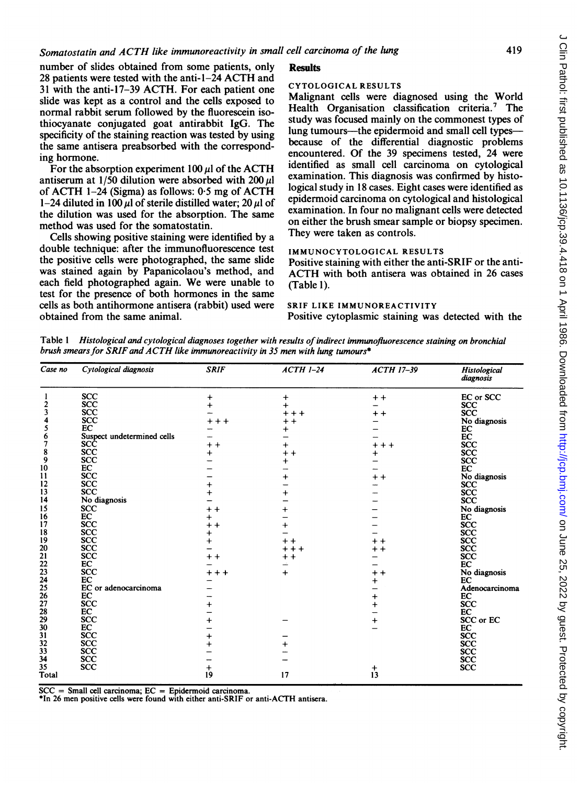number of slides obtained from some patients, only <sup>28</sup> patients were tested with the anti-1-24 ACTH and <sup>31</sup> with the anti-17-39 ACTH. For each patient one slide was kept as a control and the cells exposed to normal rabbit serum followed by the fluorescein isothiocyanate conjugated goat antirabbit IgG. The specificity of the staining reaction was tested by using the same antisera preabsorbed with the corresponding hormone.

For the absorption experiment  $100 \mu l$  of the ACTH antiserum at 1/50 dilution were absorbed with 200  $\mu$ l of ACTH 1-24 (Sigma) as follows: <sup>0</sup> <sup>5</sup> mg of ACTH 1-24 diluted in 100  $\mu$ l of sterile distilled water; 20  $\mu$ l of the dilution was used for the absorption. The same method was used for the somatostatin.

Cells showing positive staining were identified by a double technique: after the immunofluorescence test the positive cells were photographed, the same slide was stained again by Papanicolaou's method, and each field photographed again. We were unable to test for the presence of both hormones in the same cells as both antihormone antisera (rabbit) used were obtained from the same animal.

# **Results**

## CYTOLOGICAL RESULTS

Malignant cells were diagnosed using the World Health Organisation classification criteria.<sup>7</sup> The study was focused mainly on the commonest types of lung tumours—the epidermoid and small cell types because of the differential diagnostic problems encountered. Of the 39 specimens tested, 24 were identified as small cell carcinoma on cytological examination. This diagnosis was confirmed by histological study in 18 cases. Eight cases were identified as epidermoid carcinoma on cytological and histological examination. In four no malignant cells were detected on either the brush smear sample or biopsy specimen. They were taken as controls.

#### IMMUNOCYTOLOGICAL RESULTS

Positive staining with either the anti-SRIF or the anti-ACTH with both antisera was obtained in <sup>26</sup> cases (Table 1).

#### SRIF LIKE IMMUNOREACTIVITY

Positive cytoplasmic staining was detected with the

Table <sup>I</sup> Histological and cytological diagnoses together with results of indirect inmunofluorescence staining on bronchial brush smears for SRIF and ACTH like immunoreactivity in 35 men with lung tumours\*

| Case no       | Cytological diagnosis      | <b>SRIF</b> | $ACTH$ 1-24 | <b>ACTH 17-39</b> | Histological<br>diagnosis |
|---------------|----------------------------|-------------|-------------|-------------------|---------------------------|
|               | <b>SCC</b>                 | $\ddot{}$   | $\ddot{}$   | $+ +$             | EC or SCC                 |
| 2             | <b>SCC</b>                 | $\ddot{}$   | $\ddot{}$   |                   | <b>SCC</b>                |
| 3             | <b>SCC</b>                 |             | $+ + +$     | $+ +$             | SCC                       |
|               | <b>SCC</b>                 | +++         | $+ +$       |                   | No diagnosis              |
| 5             | EC                         |             | $\pmb{+}$   |                   | EC                        |
| 6             | Suspect undetermined cells |             |             |                   | EC                        |
| 7             | SCĈ                        | $+ +$       | $\ddot{}$   | $+ + +$           | <b>SCC</b>                |
| 8             | <b>SCC</b>                 | $\ddot{}$   | $+ +$       | $\ddot{}$         | <b>SCC</b>                |
| 9             | <b>SCC</b>                 |             | $\ddot{}$   |                   | <b>SCC</b>                |
| 10            | EC                         |             |             |                   | EC                        |
| $\mathbf{11}$ | <b>SCC</b>                 |             | $\ddot{}$   | $+ +$             | No diagnosis              |
| 12            | <b>SCC</b>                 | +           |             |                   | <b>SCC</b>                |
| 13            | <b>SCC</b>                 | $\ddot{}$   | $\ddot{}$   |                   | <b>SCC</b>                |
| 14            | No diagnosis               |             |             |                   | <b>SCC</b>                |
| 15            | <b>SCC</b>                 | $+ +$       | $\ddot{}$   |                   | No diagnosis              |
| 16            | EC                         | $\pmb{+}$   |             |                   | EC                        |
| 17            | <b>SCC</b>                 | $+ +$       | $\ddot{}$   |                   | <b>SCC</b>                |
| 18            | <b>SCC</b>                 | $\pmb{+}$   |             |                   | SCC                       |
| 19            | <b>SCC</b>                 | $\ddot{}$   | $+ +$       | $+ +$             | <b>SCC</b>                |
| 20            | <b>SCC</b>                 |             | $***$       | $+ +$             | <b>SCC</b>                |
| 21            | <b>SCC</b>                 | $+ +$       | $+ +$       |                   | <b>SCC</b>                |
| 22            | EC                         |             |             |                   | EC                        |
| 23            | <b>SCC</b>                 | $++++$      | $\ddot{}$   | $+ +$             | No diagnosis              |
| 24            | EC                         |             |             |                   | EC                        |
| 25            | EC or adenocarcinoma       |             |             | $\ddot{}$         | Adenocarcinoma            |
| 26            | EC                         |             |             |                   | EC                        |
| 27            | <b>SCC</b>                 |             |             | $\ddot{}$         | <b>SCC</b>                |
| 28            | EC                         | $\ddot{}$   |             | $\ddot{}$         |                           |
| 29            | <b>SCC</b>                 |             |             |                   | EC                        |
|               |                            | $\ddot{}$   |             | $\ddot{}$         | SCC or EC                 |
| 30            | EC                         |             |             |                   | EC                        |
| 31            | <b>SCC</b>                 | $\ddot{}$   |             |                   | <b>SCC</b>                |
| 32            | <b>SCC</b>                 | $\ddot{}$   | $\ddot{}$   |                   | <b>SCC</b>                |
| 33            | <b>SCC</b>                 |             |             |                   | SCC                       |
| 34            | <b>SCC</b>                 |             |             |                   | SCC                       |
| 35            | <b>SCC</b>                 | +           |             | $\ddot{}$         | <b>SCC</b>                |
| Total         |                            | 19          | 17          | 13                |                           |

 $SCC = Small$  cell carcinoma;  $EC = Epidemied$  carcinoma.

\*In 26 men positive cells were found with either anti-SRIF or anti-ACTH antisera.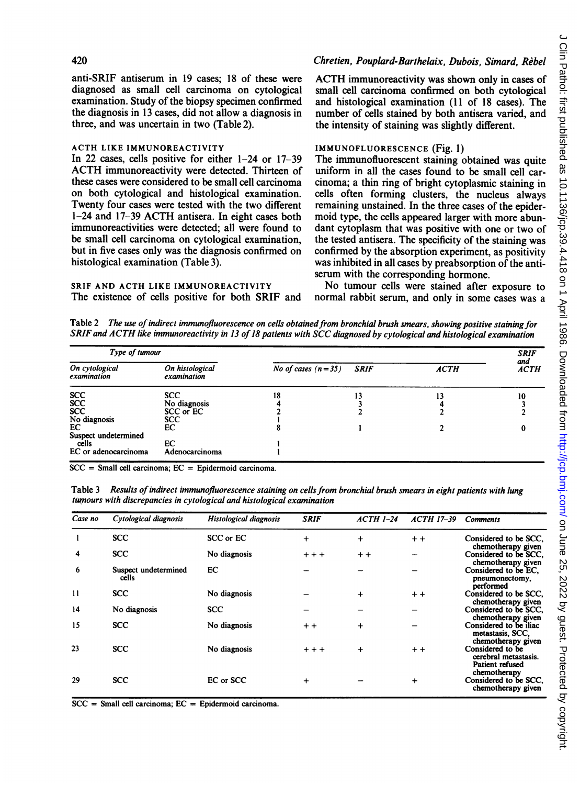#### 420

anti-SRIF antiserum in 19 cases; 18 of these were diagnosed as small cell carcinoma on cytological examination. Study of the biopsy specimen confirmed the diagnosis in 13 cases, did not allow a diagnosis in three, and was uncertain in two (Table 2).

## ACTH LIKE IMMUNOREACTIVITY

In 22 cases, cells positive for either 1-24 or 17-39 ACTH immunoreactivity were detected. Thirteen of these cases were considered to be small cell carcinoma on both cytological and histological examination. Twenty four cases were tested with the two different 1-24 and 17-39 ACTH antisera. In eight cases both immunoreactivities were detected; all were found to be small cell carcinoma on cytological examination, but in five cases only was the diagnosis confirmed on histological examination (Table 3).

SRIF AND ACTH LIKE IMMUNOREACTIVITY The existence of cells positive for both SRIF and

# Chretien, Pouplard-Barthelaix, Dubois, Simard, Rebel

ACTH immunoreactivity was shown only in cases of small cell carcinoma confirmed on both cytological and histological examination (11 of 18 cases). The number of cells stained by both antisera varied, and the intensity of staining was slightly different.

## IMMUNOFLUORESCENCE (Fig. 1)

The immunofluorescent staining obtained was quite uniform in all the cases found to be small cell carcinoma; a thin ring of bright cytoplasmic staining in cells often forming clusters, the nucleus always remaining unstained. In the three cases of the epidermoid type, the cells appeared larger with more abundant cytoplasm that was positive with one or two of the tested antisera. The specificity of the staining was confirmed by the absorption experiment, as positivity was inhibited in all cases by preabsorption of the antiserum with the corresponding hormone.

No tumour cells were stained after exposure to normal rabbit serum, and only in some cases was a

Table 2 The use of indirect immunofluorescence on cells obtained from bronchial brush smears, showing positive staining for SRIF and ACTH like immunoreactivity in 13 of 18 patients with SCC diagnosed by cytological and histological examination

| Type of tumour                |                                |                      | <b>SRIF</b> |             |                    |
|-------------------------------|--------------------------------|----------------------|-------------|-------------|--------------------|
| On cytological<br>examination | On histological<br>examination | No of cases $(n=35)$ | <b>SRIF</b> | <b>ACTH</b> | and<br><b>ACTH</b> |
| <b>SCC</b>                    | <b>SCC</b>                     | 18                   | 13          |             | 10                 |
| SCC<br>SCC                    | No diagnosis                   |                      |             |             |                    |
|                               | SCC or EC                      |                      |             |             |                    |
| No diagnosis                  | <b>SCC</b>                     |                      |             |             |                    |
| EC                            | EС                             |                      |             |             | 0                  |
| Suspect undetermined          |                                |                      |             |             |                    |
| cells                         | EC                             |                      |             |             |                    |
| EC or adenocarcinoma          | Adenocarcinoma                 |                      |             |             |                    |

 $SCC = Small$  cell carcinoma;  $EC = Epidemied$  carcinoma.

Table 3 Results of indirect immunofluorescence staining on cells from bronchial brush smears in eight patients with lung tumours with discrepancies in cytological and histological examination

| Case no | Cytological diagnosis         | Histological diagnosis | <b>SRIF</b> | $ACTH$ 1-24 | <b>ACTH 17-39</b> | <b>Comments</b>                                                  |
|---------|-------------------------------|------------------------|-------------|-------------|-------------------|------------------------------------------------------------------|
|         | <b>SCC</b>                    | SCC or EC              | $\ddot{}$   | $\ddot{}$   | $+ +$             | Considered to be SCC,<br>chemotherapy given                      |
| 4       | <b>SCC</b>                    | No diagnosis           | $+ + +$     | $+ +$       |                   | Considered to be SCC,<br>chemotherapy given                      |
| 6       | Suspect undetermined<br>cells | EC                     |             |             |                   | Considered to be EC.<br>pneumonectomy,<br>performed              |
| 11      | <b>SCC</b>                    | No diagnosis           |             | $\ddot{}$   | $+ +$             | Considered to be SCC,<br>chemotherapy given                      |
| 14      | No diagnosis                  | <b>SCC</b>             |             |             |                   | Considered to be SCC.<br>chemotherapy given                      |
| 15      | <b>SCC</b>                    | No diagnosis           | $+ +$       | $\ddot{}$   |                   | Considered to be iliac<br>metastasis, SCC,<br>chemotherapy given |
| 23      | <b>SCC</b>                    | No diagnosis           | $+ + +$     | $\ddot{}$   | $+ +$             | Considered to be<br>cerebral metastasis.<br>Patient refused      |
| 29      | SCC                           | EC or SCC              | $\ddot{}$   |             | $\ddot{}$         | chemotherapy<br>Considered to be SCC,<br>chemotherapy given      |

 $SCC = Small$  cell carcinoma;  $EC = Epidemied$  carcinoma.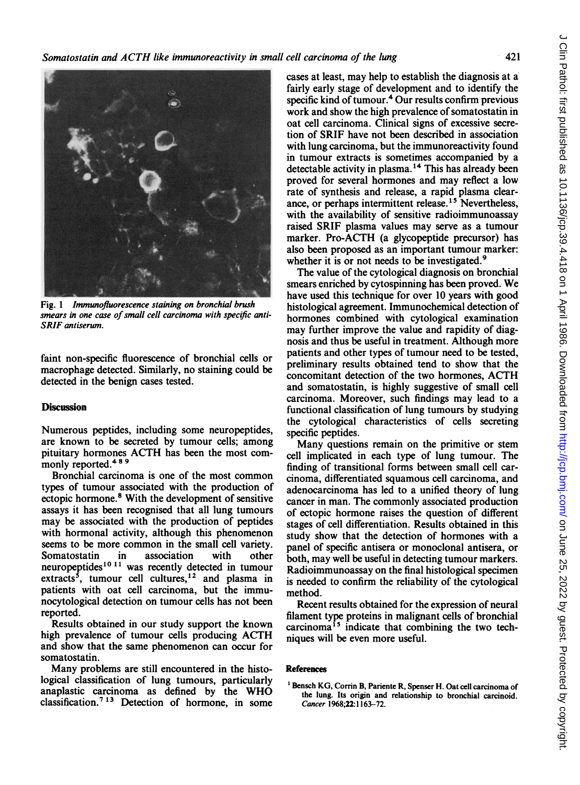

Fig. <sup>1</sup> Immunofluorescence staining on bronchial brush smears in one case of small cell carcinoma with specific anti-SRIF antiserum.

faint non-specific fluorescence of bronchial cells or macrophage detected. Similarly, no staining could be detected in the benign cases tested.

# **Discussion**

Numerous peptides, including some neuropeptides, are known to be secreted by tumour cells; among pituitary hormones ACTH has been the most commonly reported.<sup>489</sup>

Bronchial carcinoma is one of the most common types of tumour associated with the production of ectopic hormone.8 With the development of sensitive assays it has been recognised that all lung tumours may be associated with the production of peptides with hormonal activity, although this phenomenon seems to be more common in the small cell variety. Somatostatin in association with other neuropeptides $1011$  was recently detected in tumour extracts<sup>5</sup>, tumour cell cultures,<sup>12</sup> and plasma in patients with oat cell carcinoma, but the immunocytological detection on tumour cells has not been reported.

Results obtained in our study support the known high prevalence of tumour cells producing ACTH and show that the same phenomenon can occur for somatostatin.

Many problems are still encountered in the histological classification of lung tumours, particularly anaplastic carcinoma as defined by the WHO classification.<sup>7 13</sup> Detection of hormone, in some cases at least, may help to establish the diagnosis at a: fairly early stage of development and to identify the specific kind of tumour.<sup>4</sup> Our results confirm previous work and show the high prevalence of somatostatin in oat cell carcinoma. Clinical signs of excessive secretion of SRIF have not been described in association with lung carcinoma, but the immunoreactivity found in tumour extracts is sometimes accompanied by a detectable activity in plasma.<sup>14</sup> This has already been proved for several hormones and may reflect a low rate of synthesis and release, a rapid plasma clearance, or perhaps intermittent release.<sup>15</sup> Nevertheless. with the availability of sensitive radioimmunoassay raised SRIF plasma values may serve as a tumour marker. Pro-ACTH (a glycopeptide precursor) has also been proposed as an important tumour marker: whether it is or not needs to be investigated.<sup>9</sup>

The value of the cytological diagnosis on bronchial smears enriched by cytospinning has been proved. We have used this technique for over 10 years with good histological agreement. Immunochemical detection of hormones combined with cytological examination may further improve the value and rapidity of diagnosis and thus be useful in treatment. Although more patients and other types of tumour need to be tested, preliminary results obtained tend to show that the concomitant detection of the two hormones, ACTH and somatostatin, is highly suggestive of small cell carcinoma. Moreover, such findings may lead to a functional classification of lung tumours by studying the cytological characteristics of cells secreting specific peptides.

Many questions remain on the primitive or stem cell implicated in each type of lung tumour. The finding of transitional forms between small cell carcinoma, differentiated squamous cell carcinoma, and adenocarcinoma has led to a unified theory of lung cancer in man. The commonly associated production of ectopic hormone raises the question of different stages of cell differentiation. Results obtained in this study show that the detection of hormones with a panel of specific antisera or monoclonal antisera, or both, may well be useful in detecting tumour markers. Radioimmunoassay on the final histological specimen is needed to confirm the reliability of the cytological method.

Recent results obtained for the expression of neural filament type proteins in malignant cells of bronchial carcinoma<sup>15</sup> indicate that combining the two techniques will be even more useful.

#### References

<sup>1</sup> Bensch KG, Corrin B, Pariente R, Spenser H. Oat cell carcinoma of the lung. Its origin and relationship to bronchial carcinoid. Cancer 1968;22:1163-72.